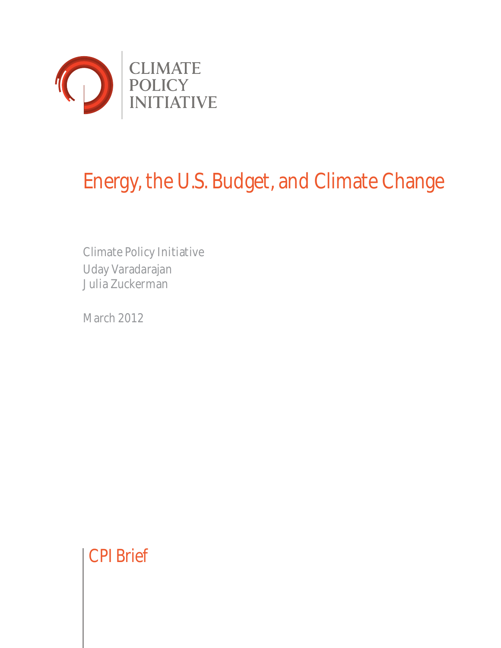

# Energy, the U.S. Budget, and Climate Change

Climate Policy Initiative Uday Varadarajan Julia Zuckerman

March 2012

CPI Brief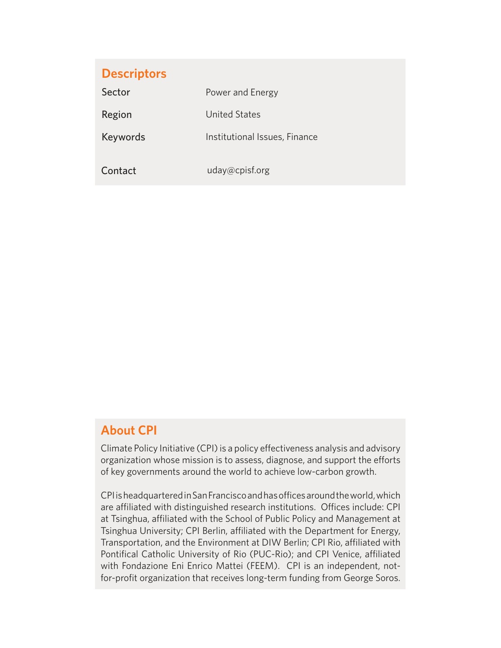| <b>Descriptors</b> |                               |
|--------------------|-------------------------------|
| Sector             | Power and Energy              |
| Region             | United States                 |
| Keywords           | Institutional Issues, Finance |
|                    |                               |
| Contact            | uday@cpisf.org                |

## **About CPI**

Climate Policy Initiative (CPI) is a policy effectiveness analysis and advisory organization whose mission is to assess, diagnose, and support the efforts of key governments around the world to achieve low-carbon growth.

CPI is headquartered in San Francisco and has offices around the world, which are affiliated with distinguished research institutions. Offices include: CPI at Tsinghua, affiliated with the School of Public Policy and Management at Tsinghua University; CPI Berlin, affiliated with the Department for Energy, Transportation, and the Environment at DIW Berlin; CPI Rio, affiliated with Pontifical Catholic University of Rio (PUC-Rio); and CPI Venice, affiliated with Fondazione Eni Enrico Mattei (FEEM). CPI is an independent, notfor-profit organization that receives long-term funding from George Soros.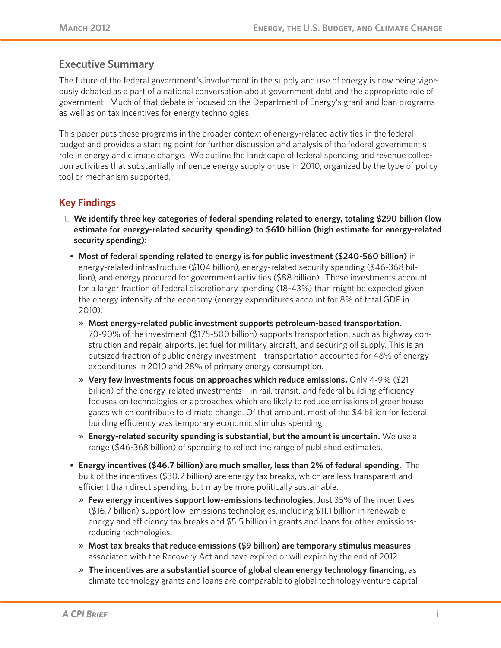## **Executive Summary**

The future of the federal government's involvement in the supply and use of energy is now being vigorously debated as a part of a national conversation about government debt and the appropriate role of government. Much of that debate is focused on the Department of Energy's grant and loan programs as well as on tax incentives for energy technologies.

This paper puts these programs in the broader context of energy-related activities in the federal budget and provides a starting point for further discussion and analysis of the federal government's role in energy and climate change. We outline the landscape of federal spending and revenue collection activities that substantially influence energy supply or use in 2010, organized by the type of policy tool or mechanism supported.

## **Key Findings**

- 1. **We identify three key categories of federal spending related to energy, totaling \$290 billion (low estimate for energy-related security spending) to \$610 billion (high estimate for energy-related security spending):**
	- **Most of federal spending related to energy is for public investment (\$240-560 billion)** in energy-related infrastructure (\$104 billion), energy-related security spending (\$46-368 billion), and energy procured for government activities (\$88 billion). These investments account for a larger fraction of federal discretionary spending (18-43%) than might be expected given the energy intensity of the economy (energy expenditures account for 8% of total GDP in 2010).
		- » **Most energy-related public investment supports petroleum-based transportation.** 70-90% of the investment (\$175-500 billion) supports transportation, such as highway construction and repair, airports, jet fuel for military aircraft, and securing oil supply. This is an outsized fraction of public energy investment – transportation accounted for 48% of energy expenditures in 2010 and 28% of primary energy consumption.
		- » **Very few investments focus on approaches which reduce emissions.** Only 4-9% (\$21 billion) of the energy-related investments – in rail, transit, and federal building efficiency – focuses on technologies or approaches which are likely to reduce emissions of greenhouse gases which contribute to climate change. Of that amount, most of the \$4 billion for federal building efficiency was temporary economic stimulus spending.
		- » **Energy-related security spending is substantial, but the amount is uncertain.** We use a range (\$46-368 billion) of spending to reflect the range of published estimates.
	- **Energy incentives (\$46.7 billion) are much smaller, less than 2% of federal spending.** The bulk of the incentives (\$30.2 billion) are energy tax breaks, which are less transparent and efficient than direct spending, but may be more politically sustainable.
		- » **Few energy incentives support low-emissions technologies.** Just 35% of the incentives (\$16.7 billion) support low-emissions technologies, including \$11.1 billion in renewable energy and efficiency tax breaks and \$5.5 billion in grants and loans for other emissionsreducing technologies.
		- » **Most tax breaks that reduce emissions (\$9 billion) are temporary stimulus measures** associated with the Recovery Act and have expired or will expire by the end of 2012.
		- » **The incentives are a substantial source of global clean energy technology financing**, as climate technology grants and loans are comparable to global technology venture capital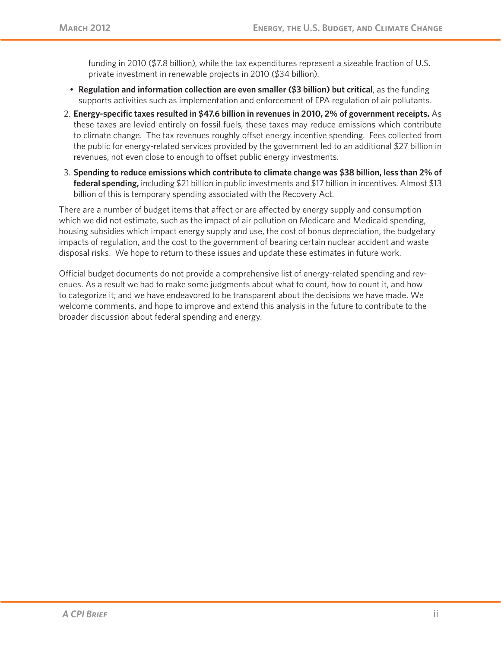funding in 2010 (\$7.8 billion), while the tax expenditures represent a sizeable fraction of U.S. private investment in renewable projects in 2010 (\$34 billion).

- **Regulation and information collection are even smaller (\$3 billion) but critical**, as the funding supports activities such as implementation and enforcement of EPA regulation of air pollutants.
- 2. **Energy-specific taxes resulted in \$47.6 billion in revenues in 2010, 2% of government receipts.** As these taxes are levied entirely on fossil fuels, these taxes may reduce emissions which contribute to climate change. The tax revenues roughly offset energy incentive spending. Fees collected from the public for energy-related services provided by the government led to an additional \$27 billion in revenues, not even close to enough to offset public energy investments.
- 3. **Spending to reduce emissions which contribute to climate change was \$38 billion, less than 2% of federal spending,** including \$21 billion in public investments and \$17 billion in incentives. Almost \$13 billion of this is temporary spending associated with the Recovery Act.

There are a number of budget items that affect or are affected by energy supply and consumption which we did not estimate, such as the impact of air pollution on Medicare and Medicaid spending, housing subsidies which impact energy supply and use, the cost of bonus depreciation, the budgetary impacts of regulation, and the cost to the government of bearing certain nuclear accident and waste disposal risks. We hope to return to these issues and update these estimates in future work.

Official budget documents do not provide a comprehensive list of energy-related spending and revenues. As a result we had to make some judgments about what to count, how to count it, and how to categorize it; and we have endeavored to be transparent about the decisions we have made. We welcome comments, and hope to improve and extend this analysis in the future to contribute to the broader discussion about federal spending and energy.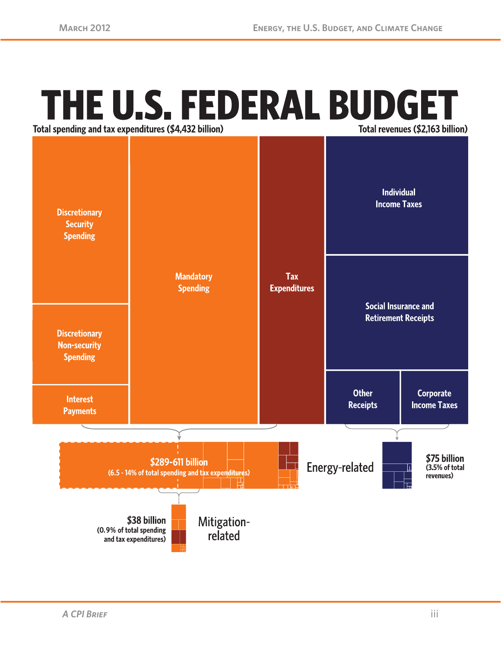## THE U.S. FEDERAL BUDGET Total revenues (\$2,163 billion)

Total spending and tax expenditures (\$4,432 billion)

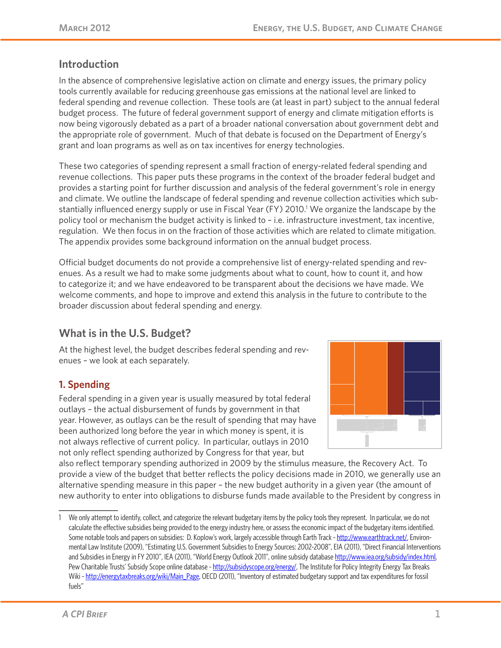## **Introduction**

In the absence of comprehensive legislative action on climate and energy issues, the primary policy tools currently available for reducing greenhouse gas emissions at the national level are linked to federal spending and revenue collection. These tools are (at least in part) subject to the annual federal budget process. The future of federal government support of energy and climate mitigation efforts is now being vigorously debated as a part of a broader national conversation about government debt and the appropriate role of government. Much of that debate is focused on the Department of Energy's grant and loan programs as well as on tax incentives for energy technologies.

These two categories of spending represent a small fraction of energy-related federal spending and revenue collections. This paper puts these programs in the context of the broader federal budget and provides a starting point for further discussion and analysis of the federal government's role in energy and climate. We outline the landscape of federal spending and revenue collection activities which substantially influenced energy supply or use in Fiscal Year (FY) 2010.<sup>1</sup> We organize the landscape by the policy tool or mechanism the budget activity is linked to – i.e. infrastructure investment, tax incentive, regulation. We then focus in on the fraction of those activities which are related to climate mitigation. The appendix provides some background information on the annual budget process.

Official budget documents do not provide a comprehensive list of energy-related spending and revenues. As a result we had to make some judgments about what to count, how to count it, and how to categorize it; and we have endeavored to be transparent about the decisions we have made. We welcome comments, and hope to improve and extend this analysis in the future to contribute to the broader discussion about federal spending and energy.

## **What is in the U.S. Budget?**

At the highest level, the budget describes federal spending and revenues – we look at each separately.

## **1. Spending**

Federal spending in a given year is usually measured by total federal outlays – the actual disbursement of funds by government in that year. However, as outlays can be the result of spending that may have been authorized long before the year in which money is spent, it is not always reflective of current policy. In particular, outlays in 2010 not only reflect spending authorized by Congress for that year, but



also reflect temporary spending authorized in 2009 by the stimulus measure, the Recovery Act. To provide a view of the budget that better reflects the policy decisions made in 2010, we generally use an alternative spending measure in this paper – the new budget authority in a given year (the amount of new authority to enter into obligations to disburse funds made available to the President by congress in

<sup>1</sup> We only attempt to identify, collect, and categorize the relevant budgetary items by the policy tools they represent. In particular, we do not calculate the effective subsidies being provided to the energy industry here, or assess the economic impact of the budgetary items identified. Some notable tools and papers on subsidies: D. Koplow's work, largely accessible through Earth Track - http://www.earthtrack.net/, Environmental Law Institute (2009), "Estimating U.S. Government Subsidies to Energy Sources: 2002-2008", EIA (2011), "Direct Financial Interventions and Subsidies in Energy in FY 2010", IEA (2011), "World Energy Outlook 2011", online subsidy database http://www.iea.org/subsidy/index.html, Pew Charitable Trusts' Subsidy Scope online database - http://subsidyscope.org/energy/, The Institute for Policy Integrity Energy Tax Breaks Wiki - http://energytaxbreaks.org/wiki/Main\_Page, OECD (2011), "Inventory of estimated budgetary support and tax expenditures for fossil fuels"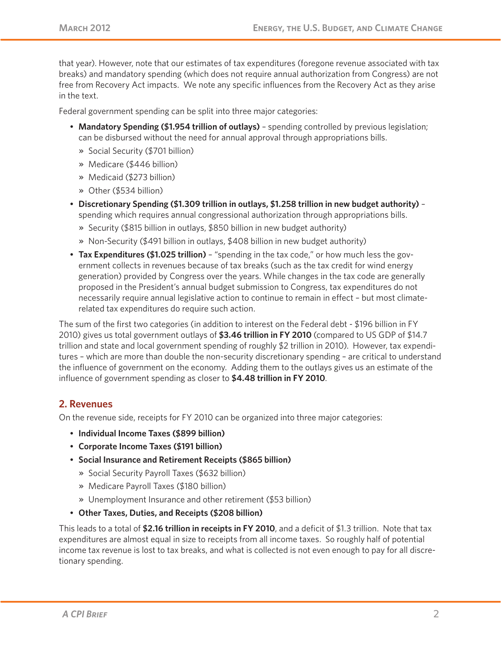that year). However, note that our estimates of tax expenditures (foregone revenue associated with tax breaks) and mandatory spending (which does not require annual authorization from Congress) are not free from Recovery Act impacts. We note any specific influences from the Recovery Act as they arise in the text.

Federal government spending can be split into three major categories:

- **Mandatory Spending (\$1.954 trillion of outlays)** spending controlled by previous legislation; can be disbursed without the need for annual approval through appropriations bills.
	- » Social Security (\$701 billion)
	- » Medicare (\$446 billion)
	- » Medicaid (\$273 billion)
	- » Other (\$534 billion)
- **Discretionary Spending (\$1.309 trillion in outlays, \$1.258 trillion in new budget authority)** spending which requires annual congressional authorization through appropriations bills.
	- » Security (\$815 billion in outlays, \$850 billion in new budget authority)
	- » Non-Security (\$491 billion in outlays, \$408 billion in new budget authority)
- **Tax Expenditures (\$1.025 trillion)** "spending in the tax code," or how much less the government collects in revenues because of tax breaks (such as the tax credit for wind energy generation) provided by Congress over the years. While changes in the tax code are generally proposed in the President's annual budget submission to Congress, tax expenditures do not necessarily require annual legislative action to continue to remain in effect – but most climaterelated tax expenditures do require such action.

The sum of the first two categories (in addition to interest on the Federal debt - \$196 billion in FY 2010) gives us total government outlays of **\$3.46 trillion in FY 2010** (compared to US GDP of \$14.7 trillion and state and local government spending of roughly \$2 trillion in 2010). However, tax expenditures – which are more than double the non-security discretionary spending – are critical to understand the influence of government on the economy. Adding them to the outlays gives us an estimate of the influence of government spending as closer to **\$4.48 trillion in FY 2010**.

#### **2. Revenues**

On the revenue side, receipts for FY 2010 can be organized into three major categories:

- **Individual Income Taxes (\$899 billion)**
- **Corporate Income Taxes (\$191 billion)**
- **Social Insurance and Retirement Receipts (\$865 billion)**
	- » Social Security Payroll Taxes (\$632 billion)
	- » Medicare Payroll Taxes (\$180 billion)
	- » Unemployment Insurance and other retirement (\$53 billion)
- **Other Taxes, Duties, and Receipts (\$208 billion)**

This leads to a total of **\$2.16 trillion in receipts in FY 2010**, and a deficit of \$1.3 trillion. Note that tax expenditures are almost equal in size to receipts from all income taxes. So roughly half of potential income tax revenue is lost to tax breaks, and what is collected is not even enough to pay for all discretionary spending.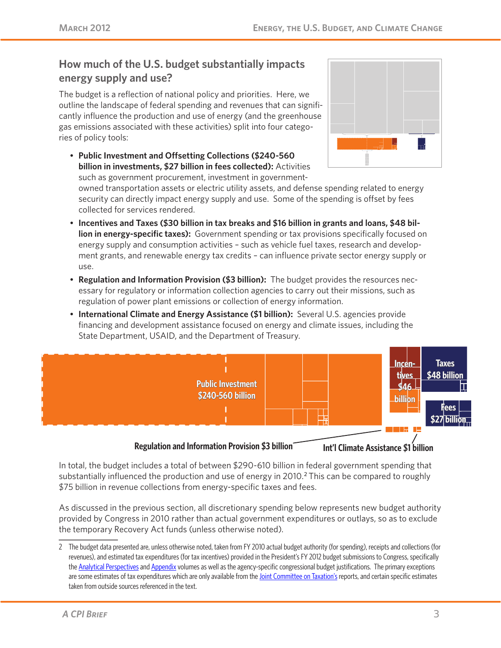## **How much of the U.S. budget substantially impacts energy supply and use?**

The budget is a reflection of national policy and priorities. Here, we outline the landscape of federal spending and revenues that can significantly influence the production and use of energy (and the greenhouse gas emissions associated with these activities) split into four categories of policy tools:

• **Public Investment and Offsetting Collections (\$240-560 billion in investments, \$27 billion in fees collected):** Activities such as government procurement, investment in government-



owned transportation assets or electric utility assets, and defense spending related to energy security can directly impact energy supply and use. Some of the spending is offset by fees collected for services rendered.

- **Incentives and Taxes (\$30 billion in tax breaks and \$16 billion in grants and loans, \$48 billion in energy-specific taxes):** Government spending or tax provisions specifically focused on energy supply and consumption activities – such as vehicle fuel taxes, research and development grants, and renewable energy tax credits – can influence private sector energy supply or use.
- **Regulation and Information Provision (\$3 billion):** The budget provides the resources necessary for regulatory or information collection agencies to carry out their missions, such as regulation of power plant emissions or collection of energy information.
- **International Climate and Energy Assistance (\$1 billion):** Several U.S. agencies provide financing and development assistance focused on energy and climate issues, including the State Department, USAID, and the Department of Treasury.



#### **Regulation and Information Provision \$3 billion Int'l Climate Assistance \$1 billion**

In total, the budget includes a total of between \$290-610 billion in federal government spending that substantially influenced the production and use of energy in 2010.<sup>2</sup> This can be compared to roughly \$75 billion in revenue collections from energy-specific taxes and fees.

As discussed in the previous section, all discretionary spending below represents new budget authority provided by Congress in 2010 rather than actual government expenditures or outlays, so as to exclude the temporary Recovery Act funds (unless otherwise noted).

<sup>2</sup> The budget data presented are, unless otherwise noted, taken from FY 2010 actual budget authority (for spending), receipts and collections (for revenues), and estimated tax expenditures (for tax incentives) provided in the President's FY 2012 budget submissions to Congress, specifically the Analytical Perspectives and Appendix volumes as well as the agency-specific congressional budget justifications. The primary exceptions are some estimates of tax expenditures which are only available from the *Joint Committee on Taxation's* reports, and certain specific estimates taken from outside sources referenced in the text.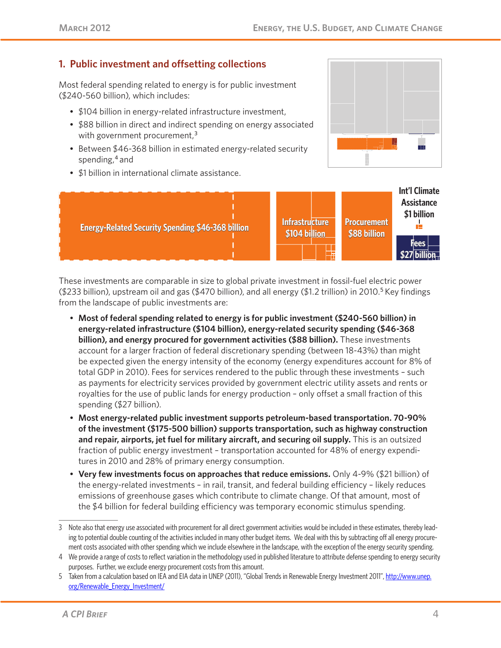## **1. Public investment and offsetting collections**

Most federal spending related to energy is for public investment (\$240-560 billion), which includes:

- \$104 billion in energy-related infrastructure investment,
- \$88 billion in direct and indirect spending on energy associated with government procurement, $3<sup>3</sup>$
- Between \$46-368 billion in estimated energy-related security spending,<sup>4</sup> and
- \$1 billion in international climate assistance.





These investments are comparable in size to global private investment in fossil-fuel electric power (\$233 billion), upstream oil and gas (\$470 billion), and all energy (\$1.2 trillion) in 2010.<sup>5</sup> Key findings from the landscape of public investments are:

- **Most of federal spending related to energy is for public investment (\$240-560 billion) in energy-related infrastructure (\$104 billion), energy-related security spending (\$46-368 billion), and energy procured for government activities (\$88 billion).** These investments account for a larger fraction of federal discretionary spending (between 18-43%) than might be expected given the energy intensity of the economy (energy expenditures account for 8% of total GDP in 2010). Fees for services rendered to the public through these investments – such as payments for electricity services provided by government electric utility assets and rents or royalties for the use of public lands for energy production – only offset a small fraction of this spending (\$27 billion).
- **Most energy-related public investment supports petroleum-based transportation. 70-90% of the investment (\$175-500 billion) supports transportation, such as highway construction and repair, airports, jet fuel for military aircraft, and securing oil supply.** This is an outsized fraction of public energy investment – transportation accounted for 48% of energy expenditures in 2010 and 28% of primary energy consumption.
- **Very few investments focus on approaches that reduce emissions.** Only 4-9% (\$21 billion) of the energy-related investments – in rail, transit, and federal building efficiency – likely reduces emissions of greenhouse gases which contribute to climate change. Of that amount, most of the \$4 billion for federal building efficiency was temporary economic stimulus spending.

<sup>3</sup> Note also that energy use associated with procurement for all direct government activities would be included in these estimates, thereby leading to potential double counting of the activities included in many other budget items. We deal with this by subtracting off all energy procurement costs associated with other spending which we include elsewhere in the landscape, with the exception of the energy security spending.

<sup>4</sup> We provide a range of costs to reflect variation in the methodology used in published literature to attribute defense spending to energy security purposes. Further, we exclude energy procurement costs from this amount.

<sup>5</sup> Taken from a calculation based on IEA and EIA data in UNEP (2011), "Global Trends in Renewable Energy Investment 2011", http://www.unep. org/Renewable\_Energy\_Investment/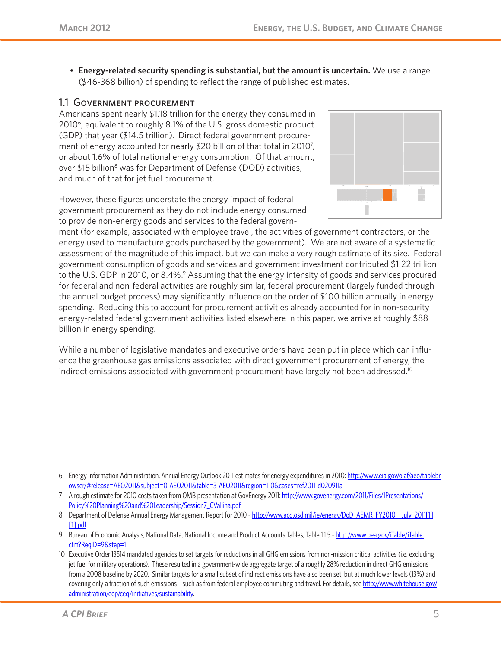• **Energy-related security spending is substantial, but the amount is uncertain.** We use a range (\$46-368 billion) of spending to reflect the range of published estimates.

#### 1.1 Government procurement

Americans spent nearly \$1.18 trillion for the energy they consumed in 20106, equivalent to roughly 8.1% of the U.S. gross domestic product (GDP) that year (\$14.5 trillion). Direct federal government procurement of energy accounted for nearly \$20 billion of that total in 2010<sup>7</sup>, or about 1.6% of total national energy consumption. Of that amount, over \$15 billion<sup>8</sup> was for Department of Defense (DOD) activities, and much of that for jet fuel procurement.

However, these figures understate the energy impact of federal government procurement as they do not include energy consumed to provide non-energy goods and services to the federal govern-



ment (for example, associated with employee travel, the activities of government contractors, or the energy used to manufacture goods purchased by the government). We are not aware of a systematic assessment of the magnitude of this impact, but we can make a very rough estimate of its size. Federal government consumption of goods and services and government investment contributed \$1.22 trillion to the U.S. GDP in 2010, or 8.4%.<sup>9</sup> Assuming that the energy intensity of goods and services procured for federal and non-federal activities are roughly similar, federal procurement (largely funded through the annual budget process) may significantly influence on the order of \$100 billion annually in energy spending. Reducing this to account for procurement activities already accounted for in non-security energy-related federal government activities listed elsewhere in this paper, we arrive at roughly \$88 billion in energy spending.

While a number of legislative mandates and executive orders have been put in place which can influence the greenhouse gas emissions associated with direct government procurement of energy, the indirect emissions associated with government procurement have largely not been addressed.<sup>10</sup>

<sup>6</sup> Energy Information Administration, Annual Energy Outlook 2011 estimates for energy expenditures in 2010: http://www.eia.gov/oiaf/aeo/tablebr owser/#release=AEO2011&subject=0-AEO2011&table=3-AEO2011&region=1-0&cases=ref2011-d020911a

<sup>7</sup> A rough estimate for 2010 costs taken from OMB presentation at GovEnergy 2011: http://www.govenergy.com/2011/Files/1Presentations/ Policy%20Planning%20and%20Leadership/Session7\_CVallina.pdf

<sup>8</sup> Department of Defense Annual Energy Management Report for 2010 - http://www.acq.osd.mil/ie/energy/DoD\_AEMR\_FY2010\_\_July\_2011[1] [1].pdf

<sup>9</sup> Bureau of Economic Analysis, National Data, National Income and Product Accounts Tables, Table 11.5 - http://www.bea.gov/iTable/iTable. cfm?ReqID=9&step=1

<sup>10</sup> Executive Order 13514 mandated agencies to set targets for reductions in all GHG emissions from non-mission critical activities (i.e. excluding jet fuel for military operations). These resulted in a government-wide aggregate target of a roughly 28% reduction in direct GHG emissions from a 2008 baseline by 2020. Similar targets for a small subset of indirect emissions have also been set, but at much lower levels (13%) and covering only a fraction of such emissions - such as from federal employee commuting and travel. For details, see http://www.whitehouse.gov/ administration/eop/ceq/initiatives/sustainability.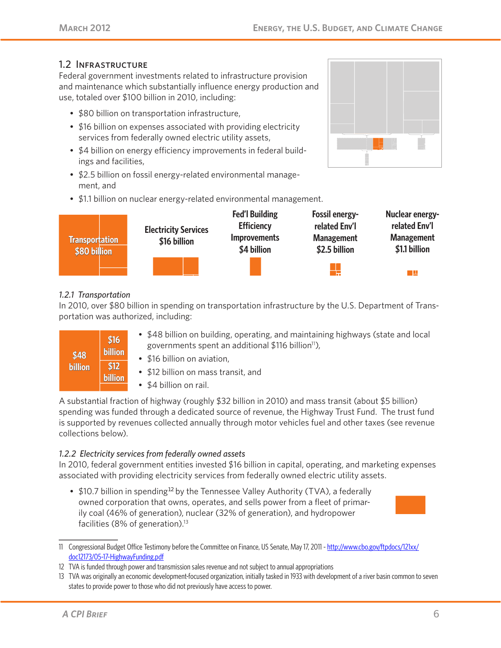#### 1.2 Infrastructure

Federal government investments related to infrastructure provision and maintenance which substantially influence energy production and use, totaled over \$100 billion in 2010, including:

- \$80 billion on transportation infrastructure,
- \$16 billion on expenses associated with providing electricity services from federally owned electric utility assets,
- \$4 billion on energy efficiency improvements in federal buildings and facilities,
- \$2.5 billion on fossil energy-related environmental management, and
- \$1.1 billion on nuclear energy-related environmental management.



#### *1.2.1 Transportation*

In 2010, over \$80 billion in spending on transportation infrastructure by the U.S. Department of Transportation was authorized, including:

| \$48           | \$16<br><b>billion</b> |
|----------------|------------------------|
| <b>billion</b> | \$12<br>billion        |

- \$48 billion on building, operating, and maintaining highways (state and local governments spent an additional  $$116$  billion<sup>11</sup>),
- \$16 billion on aviation,
- \$12 billion on mass transit, and
- \$4 billion on rail.

A substantial fraction of highway (roughly \$32 billion in 2010) and mass transit (about \$5 billion) spending was funded through a dedicated source of revenue, the Highway Trust Fund. The trust fund is supported by revenues collected annually through motor vehicles fuel and other taxes (see revenue collections below).

#### *1.2.2 Electricity services from federally owned assets*

In 2010, federal government entities invested \$16 billion in capital, operating, and marketing expenses associated with providing electricity services from federally owned electric utility assets.

• \$10.7 billion in spending<sup>12</sup> by the Tennessee Valley Authority (TVA), a federally owned corporation that owns, operates, and sells power from a fleet of primarily coal (46% of generation), nuclear (32% of generation), and hydropower facilities (8% of generation). $13$ 



<sup>11</sup> Congressional Budget Office Testimony before the Committee on Finance, US Senate, May 17, 2011 - http://www.cbo.gov/ftpdocs/121xx/ doc12173/05-17-HighwayFunding.pdf



<sup>12</sup> TVA is funded through power and transmission sales revenue and not subject to annual appropriations

<sup>13</sup> TVA was originally an economic development-focused organization, initially tasked in 1933 with development of a river basin common to seven states to provide power to those who did not previously have access to power.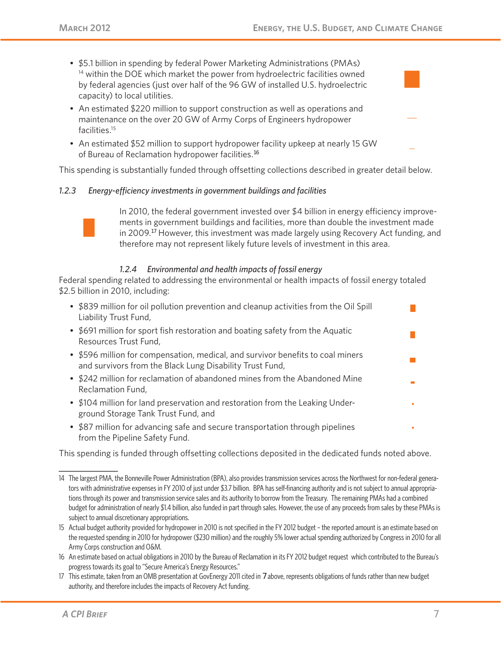- \$5.1 billion in spending by federal Power Marketing Administrations (PMAs) <sup>14</sup> within the DOE which market the power from hydroelectric facilities owned by federal agencies (just over half of the 96 GW of installed U.S. hydroelectric capacity) to local utilities.
- An estimated \$220 million to support construction as well as operations and maintenance on the over 20 GW of Army Corps of Engineers hydropower facilities.15
- An estimated \$52 million to support hydropower facility upkeep at nearly 15 GW of Bureau of Reclamation hydropower facilities.<sup>16</sup>

This spending is substantially funded through offsetting collections described in greater detail below.

#### *1.2.3 Energy-efficiency investments in government buildings and facilities*



In 2010, the federal government invested over \$4 billion in energy efficiency improvements in government buildings and facilities, more than double the investment made in 2009.17 However, this investment was made largely using Recovery Act funding, and therefore may not represent likely future levels of investment in this area.

#### *1.2.4 Environmental and health impacts of fossil energy*

Federal spending related to addressing the environmental or health impacts of fossil energy totaled \$2.5 billion in 2010, including:

| • \$839 million for oil pollution prevention and cleanup activities from the Oil Spill<br>Liability Trust Fund,                             |  |
|---------------------------------------------------------------------------------------------------------------------------------------------|--|
| • \$691 million for sport fish restoration and boating safety from the Aquatic<br>Resources Trust Fund,                                     |  |
| • \$596 million for compensation, medical, and survivor benefits to coal miners<br>and survivors from the Black Lung Disability Trust Fund, |  |
| • \$242 million for reclamation of abandoned mines from the Abandoned Mine<br>Reclamation Fund,                                             |  |
| • \$104 million for land preservation and restoration from the Leaking Under-<br>ground Storage Tank Trust Fund, and                        |  |

• \$87 million for advancing safe and secure transportation through pipelines from the Pipeline Safety Fund.

This spending is funded through offsetting collections deposited in the dedicated funds noted above.

<sup>14</sup> The largest PMA, the Bonneville Power Administration (BPA), also provides transmission services across the Northwest for non-federal generators with administrative expenses in FY 2010 of just under \$3.7 billion. BPA has self-financing authority and is not subject to annual appropriations through its power and transmission service sales and its authority to borrow from the Treasury. The remaining PMAs had a combined budget for administration of nearly \$1.4 billion, also funded in part through sales. However, the use of any proceeds from sales by these PMAs is subject to annual discretionary appropriations.

<sup>15</sup> Actual budget authority provided for hydropower in 2010 is not specified in the FY 2012 budget – the reported amount is an estimate based on the requested spending in 2010 for hydropower (\$230 million) and the roughly 5% lower actual spending authorized by Congress in 2010 for all Army Corps construction and O&M.

<sup>16</sup> An estimate based on actual obligations in 2010 by the Bureau of Reclamation in its FY 2012 budget request which contributed to the Bureau's progress towards its goal to "Secure America's Energy Resources."

<sup>17</sup> This estimate, taken from an OMB presentation at GovEnergy 2011 cited in 7 above, represents obligations of funds rather than new budget authority, and therefore includes the impacts of Recovery Act funding.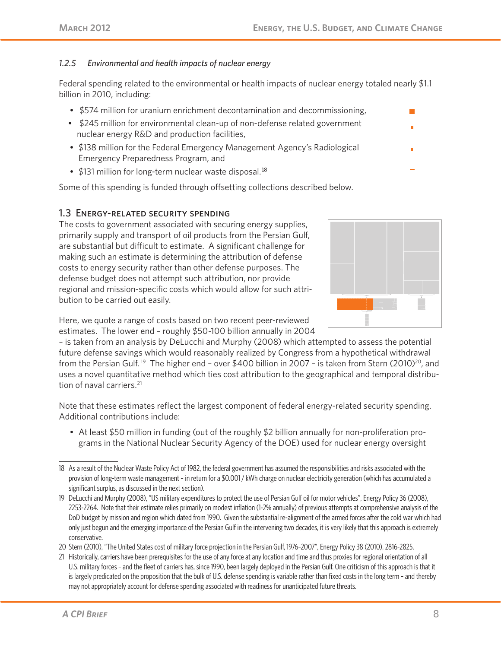#### *1.2.5 Environmental and health impacts of nuclear energy*

Federal spending related to the environmental or health impacts of nuclear energy totaled nearly \$1.1 billion in 2010, including:

- \$574 million for uranium enrichment decontamination and decommissioning,
- \$245 million for environmental clean-up of non-defense related government nuclear energy R&D and production facilities,
- \$138 million for the Federal Emergency Management Agency's Radiological Emergency Preparedness Program, and
- \$131 million for long-term nuclear waste disposal.<sup>18</sup>

Some of this spending is funded through offsetting collections described below.

#### 1.3 Energy-related security spending

The costs to government associated with securing energy supplies, primarily supply and transport of oil products from the Persian Gulf, are substantial but difficult to estimate. A significant challenge for making such an estimate is determining the attribution of defense costs to energy security rather than other defense purposes. The defense budget does not attempt such attribution, nor provide regional and mission-specific costs which would allow for such attribution to be carried out easily.



 $\mathcal{C}^{\mathcal{A}}$ 

Here, we quote a range of costs based on two recent peer-reviewed estimates. The lower end – roughly \$50-100 billion annually in 2004

– is taken from an analysis by DeLucchi and Murphy (2008) which attempted to assess the potential future defense savings which would reasonably realized by Congress from a hypothetical withdrawal from the Persian Gulf.<sup>19</sup> The higher end - over \$400 billion in 2007 - is taken from Stern (2010)<sup>20</sup>, and uses a novel quantitative method which ties cost attribution to the geographical and temporal distribution of naval carriers.<sup>21</sup>

Note that these estimates reflect the largest component of federal energy-related security spending. Additional contributions include:

• At least \$50 million in funding (out of the roughly \$2 billion annually for non-proliferation programs in the National Nuclear Security Agency of the DOE) used for nuclear energy oversight

20 Stern (2010), "The United States cost of military force projection in the Persian Gulf, 1976–2007", Energy Policy 38 (2010), 2816-2825.

21 Historically, carriers have been prerequisites for the use of any force at any location and time and thus proxies for regional orientation of all U.S. military forces – and the fleet of carriers has, since 1990, been largely deployed in the Persian Gulf. One criticism of this approach is that it is largely predicated on the proposition that the bulk of U.S. defense spending is variable rather than fixed costs in the long term – and thereby may not appropriately account for defense spending associated with readiness for unanticipated future threats.

<sup>18</sup> As a result of the Nuclear Waste Policy Act of 1982, the federal government has assumed the responsibilities and risks associated with the provision of long-term waste management – in return for a \$0.001 / kWh charge on nuclear electricity generation (which has accumulated a significant surplus, as discussed in the next section).

<sup>19</sup> DeLucchi and Murphy (2008), "US military expenditures to protect the use of Persian Gulf oil for motor vehicles", Energy Policy 36 (2008), 2253-2264. Note that their estimate relies primarily on modest inflation (1-2% annually) of previous attempts at comprehensive analysis of the DoD budget by mission and region which dated from 1990. Given the substantial re-alignment of the armed forces after the cold war which had only just begun and the emerging importance of the Persian Gulf in the intervening two decades, it is very likely that this approach is extremely conservative.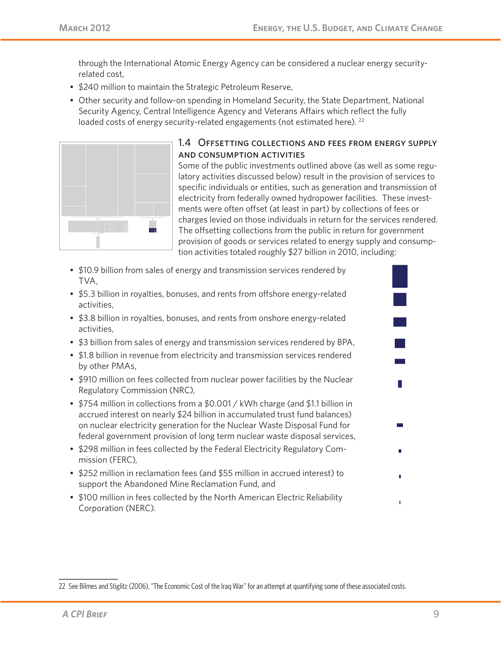through the International Atomic Energy Agency can be considered a nuclear energy securityrelated cost,

- \$240 million to maintain the Strategic Petroleum Reserve,
- Other security and follow-on spending in Homeland Security, the State Department, National Security Agency, Central Intelligence Agency and Veterans Affairs which reflect the fully loaded costs of energy security-related engagements (not estimated here). <sup>22</sup>



#### 1.4 Offsetting collections and fees from energy supply and consumption activities

Some of the public investments outlined above (as well as some regulatory activities discussed below) result in the provision of services to specific individuals or entities, such as generation and transmission of electricity from federally owned hydropower facilities. These investments were often offset (at least in part) by collections of fees or charges levied on those individuals in return for the services rendered. The offsetting collections from the public in return for government provision of goods or services related to energy supply and consumption activities totaled roughly \$27 billion in 2010, including:

- \$10.9 billion from sales of energy and transmission services rendered by TVA,
- \$5.3 billion in royalties, bonuses, and rents from offshore energy-related activities,
- \$3.8 billion in royalties, bonuses, and rents from onshore energy-related activities,
- \$3 billion from sales of energy and transmission services rendered by BPA,
- \$1.8 billion in revenue from electricity and transmission services rendered by other PMAs,
- \$910 million on fees collected from nuclear power facilities by the Nuclear Regulatory Commission (NRC),
- \$754 million in collections from a \$0.001 / kWh charge (and \$1.1 billion in accrued interest on nearly \$24 billion in accumulated trust fund balances) on nuclear electricity generation for the Nuclear Waste Disposal Fund for federal government provision of long term nuclear waste disposal services,
- \$298 million in fees collected by the Federal Electricity Regulatory Commission (FERC),
- \$252 million in reclamation fees (and \$55 million in accrued interest) to support the Abandoned Mine Reclamation Fund, and
- \$100 million in fees collected by the North American Electric Reliability Corporation (NERC).

m.

f.

<sup>22</sup> See Bilmes and Stiglitz (2006), "The Economic Cost of the Iraq War" for an attempt at quantifying some of these associated costs.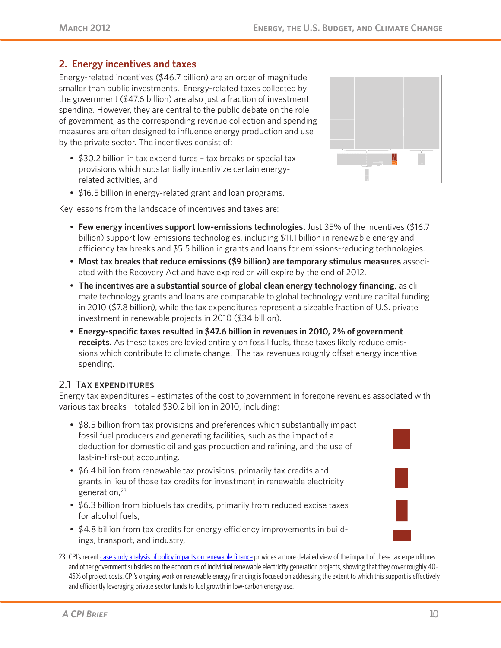## **2. Energy incentives and taxes**

Energy-related incentives (\$46.7 billion) are an order of magnitude smaller than public investments. Energy-related taxes collected by the government (\$47.6 billion) are also just a fraction of investment spending. However, they are central to the public debate on the role of government, as the corresponding revenue collection and spending measures are often designed to influence energy production and use by the private sector. The incentives consist of:

- \$30.2 billion in tax expenditures tax breaks or special tax provisions which substantially incentivize certain energyrelated activities, and
- \$16.5 billion in energy-related grant and loan programs.

Key lessons from the landscape of incentives and taxes are:

- **Few energy incentives support low-emissions technologies.** Just 35% of the incentives (\$16.7 billion) support low-emissions technologies, including \$11.1 billion in renewable energy and efficiency tax breaks and \$5.5 billion in grants and loans for emissions-reducing technologies.
- **Most tax breaks that reduce emissions (\$9 billion) are temporary stimulus measures** associated with the Recovery Act and have expired or will expire by the end of 2012.
- **The incentives are a substantial source of global clean energy technology financing**, as climate technology grants and loans are comparable to global technology venture capital funding in 2010 (\$7.8 billion), while the tax expenditures represent a sizeable fraction of U.S. private investment in renewable projects in 2010 (\$34 billion).
- **Energy-specific taxes resulted in \$47.6 billion in revenues in 2010, 2% of government receipts.** As these taxes are levied entirely on fossil fuels, these taxes likely reduce emissions which contribute to climate change. The tax revenues roughly offset energy incentive spending.

#### 2.1 Tax expenditures

Energy tax expenditures – estimates of the cost to government in foregone revenues associated with various tax breaks – totaled \$30.2 billion in 2010, including:

- \$8.5 billion from tax provisions and preferences which substantially impact fossil fuel producers and generating facilities, such as the impact of a deduction for domestic oil and gas production and refining, and the use of last-in-first-out accounting.
- \$6.4 billion from renewable tax provisions, primarily tax credits and grants in lieu of those tax credits for investment in renewable electricity generation,23
- \$6.3 billion from biofuels tax credits, primarily from reduced excise taxes for alcohol fuels,
- \$4.8 billion from tax credits for energy efficiency improvements in buildings, transport, and industry,
- 23 CPI's recent case study analysis of policy impacts on renewable finance provides a more detailed view of the impact of these tax expenditures and other government subsidies on the economics of individual renewable electricity generation projects, showing that they cover roughly 40- 45% of project costs. CPI's ongoing work on renewable energy financing is focused on addressing the extent to which this support is effectively and efficiently leveraging private sector funds to fuel growth in low-carbon energy use.



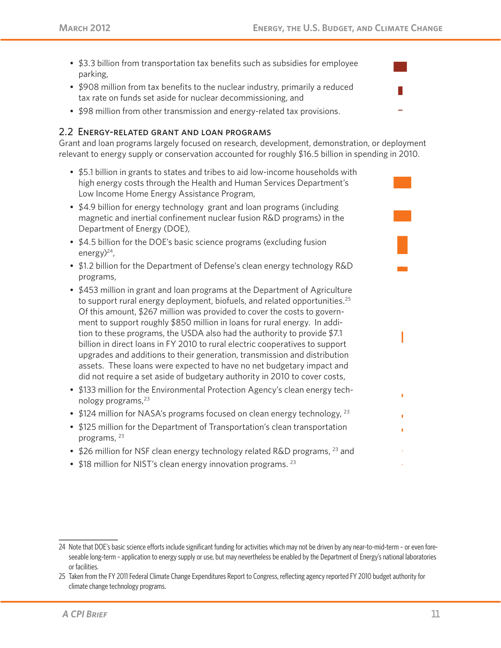- \$3.3 billion from transportation tax benefits such as subsidies for employee parking,
- \$908 million from tax benefits to the nuclear industry, primarily a reduced tax rate on funds set aside for nuclear decommissioning, and
- \$98 million from other transmission and energy-related tax provisions.

#### 2.2 Energy-related grant and loan programs

Grant and loan programs largely focused on research, development, demonstration, or deployment relevant to energy supply or conservation accounted for roughly \$16.5 billion in spending in 2010.

- \$5.1 billion in grants to states and tribes to aid low-income households with high energy costs through the Health and Human Services Department's Low Income Home Energy Assistance Program,
- \$4.9 billion for energy technology grant and loan programs (including magnetic and inertial confinement nuclear fusion R&D programs) in the Department of Energy (DOE),
- \$4.5 billion for the DOE's basic science programs (excluding fusion energy) $^{24}$ ,
- \$1.2 billion for the Department of Defense's clean energy technology R&D programs,
- \$453 million in grant and loan programs at the Department of Agriculture to support rural energy deployment, biofuels, and related opportunities.<sup>25</sup> Of this amount, \$267 million was provided to cover the costs to government to support roughly \$850 million in loans for rural energy. In addition to these programs, the USDA also had the authority to provide \$7.1 billion in direct loans in FY 2010 to rural electric cooperatives to support upgrades and additions to their generation, transmission and distribution assets. These loans were expected to have no net budgetary impact and did not require a set aside of budgetary authority in 2010 to cover costs,
- \$133 million for the Environmental Protection Agency's clean energy technology programs,<sup>23</sup>
- \$124 million for NASA's programs focused on clean energy technology,  $23$
- \$125 million for the Department of Transportation's clean transportation programs, 23
- \$26 million for NSF clean energy technology related R&D programs, <sup>23</sup> and
- \$18 million for NIST's clean energy innovation programs.<sup>23</sup>

<sup>24</sup> Note that DOE's basic science efforts include significant funding for activities which may not be driven by any near-to-mid-term – or even foreseeable long-term – application to energy supply or use, but may nevertheless be enabled by the Department of Energy's national laboratories or facilities.

<sup>25</sup> Taken from the FY 2011 Federal Climate Change Expenditures Report to Congress, reflecting agency reported FY 2010 budget authority for climate change technology programs.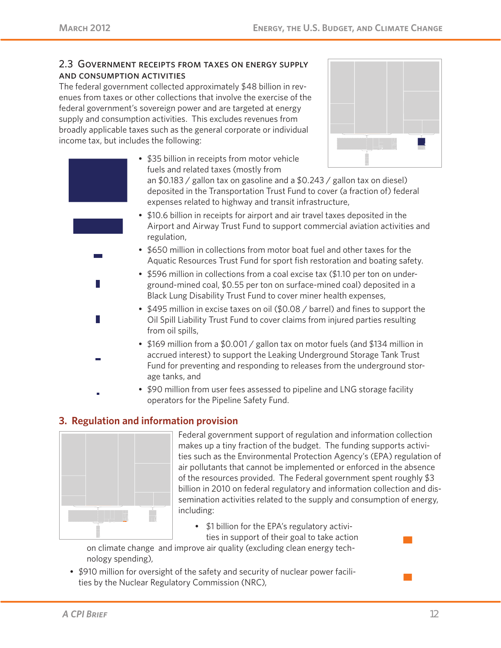#### 2.3 Government receipts from taxes on energy supply and consumption activities

The federal government collected approximately \$48 billion in revenues from taxes or other collections that involve the exercise of the federal government's sovereign power and are targeted at energy supply and consumption activities. This excludes revenues from broadly applicable taxes such as the general corporate or individual income tax, but includes the following:



- \$35 billion in receipts from motor vehicle fuels and related taxes (mostly from an \$0.183 / gallon tax on gasoline and a \$0.243 / gallon tax on diesel) deposited in the Transportation Trust Fund to cover (a fraction of) federal expenses related to highway and transit infrastructure,
- \$10.6 billion in receipts for airport and air travel taxes deposited in the Airport and Airway Trust Fund to support commercial aviation activities and regulation,
- \$650 million in collections from motor boat fuel and other taxes for the Aquatic Resources Trust Fund for sport fish restoration and boating safety.
- \$596 million in collections from a coal excise tax (\$1.10 per ton on underground-mined coal, \$0.55 per ton on surface-mined coal) deposited in a Black Lung Disability Trust Fund to cover miner health expenses,
- \$495 million in excise taxes on oil (\$0.08 / barrel) and fines to support the Oil Spill Liability Trust Fund to cover claims from injured parties resulting from oil spills,
- \$169 million from a \$0.001 / gallon tax on motor fuels (and \$134 million in accrued interest) to support the Leaking Underground Storage Tank Trust Fund for preventing and responding to releases from the underground storage tanks, and
- \$90 million from user fees assessed to pipeline and LNG storage facility operators for the Pipeline Safety Fund.

## **3. Regulation and information provision**



Federal government support of regulation and information collection makes up a tiny fraction of the budget. The funding supports activities such as the Environmental Protection Agency's (EPA) regulation of air pollutants that cannot be implemented or enforced in the absence of the resources provided. The Federal government spent roughly \$3 billion in 2010 on federal regulatory and information collection and dissemination activities related to the supply and consumption of energy, including:

• \$1 billion for the EPA's regulatory activities in support of their goal to take action

on climate change and improve air quality (excluding clean energy technology spending),

• \$910 million for oversight of the safety and security of nuclear power facilities by the Nuclear Regulatory Commission (NRC),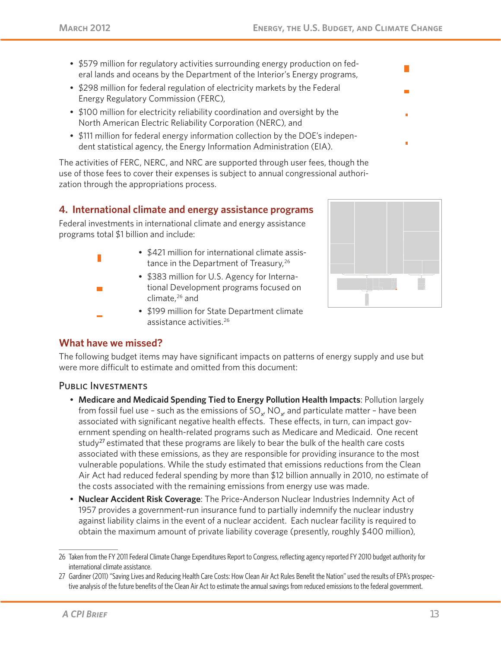- \$579 million for regulatory activities surrounding energy production on federal lands and oceans by the Department of the Interior's Energy programs,
- \$298 million for federal regulation of electricity markets by the Federal Energy Regulatory Commission (FERC),
- \$100 million for electricity reliability coordination and oversight by the North American Electric Reliability Corporation (NERC), and
- \$111 million for federal energy information collection by the DOE's independent statistical agency, the Energy Information Administration (EIA).

The activities of FERC, NERC, and NRC are supported through user fees, though the use of those fees to cover their expenses is subject to annual congressional authorization through the appropriations process.

### **4. International climate and energy assistance programs**

Federal investments in international climate and energy assistance programs total \$1 billion and include:

- \$421 million for international climate assistance in the Department of Treasury,<sup>26</sup>
	- \$383 million for U.S. Agency for International Development programs focused on climate,26 and
- \$199 million for State Department climate assistance activities.26



#### **What have we missed?**

The following budget items may have significant impacts on patterns of energy supply and use but were more difficult to estimate and omitted from this document:

#### PUBLIC INVESTMENTS

- **Medicare and Medicaid Spending Tied to Energy Pollution Health Impacts**: Pollution largely from fossil fuel use – such as the emissions of SO $_{_{\sf x'}}$  NO $_{_{\sf x'}}$  and particulate matter – have been associated with significant negative health effects. These effects, in turn, can impact government spending on health-related programs such as Medicare and Medicaid. One recent study<sup>27</sup> estimated that these programs are likely to bear the bulk of the health care costs associated with these emissions, as they are responsible for providing insurance to the most vulnerable populations. While the study estimated that emissions reductions from the Clean Air Act had reduced federal spending by more than \$12 billion annually in 2010, no estimate of the costs associated with the remaining emissions from energy use was made.
- **Nuclear Accident Risk Coverage**: The Price-Anderson Nuclear Industries Indemnity Act of 1957 provides a government-run insurance fund to partially indemnify the nuclear industry against liability claims in the event of a nuclear accident. Each nuclear facility is required to obtain the maximum amount of private liability coverage (presently, roughly \$400 million),

<sup>26</sup> Taken from the FY 2011 Federal Climate Change Expenditures Report to Congress, reflecting agency reported FY 2010 budget authority for international climate assistance.

<sup>27</sup> Gardiner (2011) "Saving Lives and Reducing Health Care Costs: How Clean Air Act Rules Benefit the Nation" used the results of EPA's prospective analysis of the future benefits of the Clean Air Act to estimate the annual savings from reduced emissions to the federal government.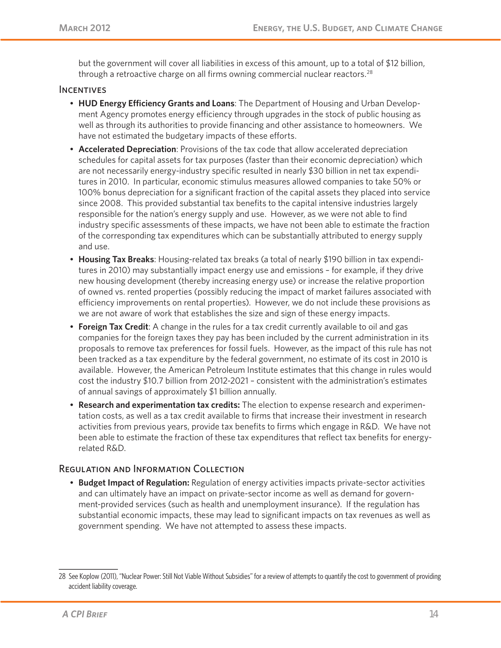but the government will cover all liabilities in excess of this amount, up to a total of \$12 billion, through a retroactive charge on all firms owning commercial nuclear reactors.<sup>28</sup>

#### **INCENTIVES**

- **HUD Energy Efficiency Grants and Loans**: The Department of Housing and Urban Development Agency promotes energy efficiency through upgrades in the stock of public housing as well as through its authorities to provide financing and other assistance to homeowners. We have not estimated the budgetary impacts of these efforts.
- **Accelerated Depreciation**: Provisions of the tax code that allow accelerated depreciation schedules for capital assets for tax purposes (faster than their economic depreciation) which are not necessarily energy-industry specific resulted in nearly \$30 billion in net tax expenditures in 2010. In particular, economic stimulus measures allowed companies to take 50% or 100% bonus depreciation for a significant fraction of the capital assets they placed into service since 2008. This provided substantial tax benefits to the capital intensive industries largely responsible for the nation's energy supply and use. However, as we were not able to find industry specific assessments of these impacts, we have not been able to estimate the fraction of the corresponding tax expenditures which can be substantially attributed to energy supply and use.
- **Housing Tax Breaks**: Housing-related tax breaks (a total of nearly \$190 billion in tax expenditures in 2010) may substantially impact energy use and emissions – for example, if they drive new housing development (thereby increasing energy use) or increase the relative proportion of owned vs. rented properties (possibly reducing the impact of market failures associated with efficiency improvements on rental properties). However, we do not include these provisions as we are not aware of work that establishes the size and sign of these energy impacts.
- **Foreign Tax Credit**: A change in the rules for a tax credit currently available to oil and gas companies for the foreign taxes they pay has been included by the current administration in its proposals to remove tax preferences for fossil fuels. However, as the impact of this rule has not been tracked as a tax expenditure by the federal government, no estimate of its cost in 2010 is available. However, the American Petroleum Institute estimates that this change in rules would cost the industry \$10.7 billion from 2012-2021 – consistent with the administration's estimates of annual savings of approximately \$1 billion annually.
- **Research and experimentation tax credits:** The election to expense research and experimentation costs, as well as a tax credit available to firms that increase their investment in research activities from previous years, provide tax benefits to firms which engage in R&D. We have not been able to estimate the fraction of these tax expenditures that reflect tax benefits for energyrelated R&D.

#### Regulation and Information Collection

• **Budget Impact of Regulation:** Regulation of energy activities impacts private-sector activities and can ultimately have an impact on private-sector income as well as demand for government-provided services (such as health and unemployment insurance). If the regulation has substantial economic impacts, these may lead to significant impacts on tax revenues as well as government spending. We have not attempted to assess these impacts.

<sup>28</sup> See Koplow (2011), "Nuclear Power: Still Not Viable Without Subsidies" for a review of attempts to quantify the cost to government of providing accident liability coverage.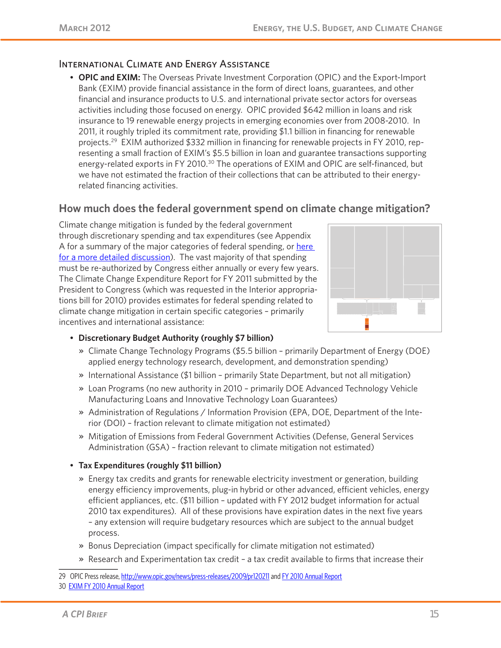#### International Climate and Energy Assistance

• **OPIC and EXIM:** The Overseas Private Investment Corporation (OPIC) and the Export-Import Bank (EXIM) provide financial assistance in the form of direct loans, guarantees, and other financial and insurance products to U.S. and international private sector actors for overseas activities including those focused on energy. OPIC provided \$642 million in loans and risk insurance to 19 renewable energy projects in emerging economies over from 2008-2010. In 2011, it roughly tripled its commitment rate, providing \$1.1 billion in financing for renewable projects.<sup>29</sup> EXIM authorized \$332 million in financing for renewable projects in FY 2010, representing a small fraction of EXIM's \$5.5 billion in loan and guarantee transactions supporting energy-related exports in FY 2010.<sup>30</sup> The operations of EXIM and OPIC are self-financed, but we have not estimated the fraction of their collections that can be attributed to their energyrelated financing activities.

## **How much does the federal government spend on climate change mitigation?**

Climate change mitigation is funded by the federal government through discretionary spending and tax expenditures (see Appendix A for a summary of the major categories of federal spending, or here for a more detailed discussion). The vast majority of that spending must be re-authorized by Congress either annually or every few years. The Climate Change Expenditure Report for FY 2011 submitted by the President to Congress (which was requested in the Interior appropriations bill for 2010) provides estimates for federal spending related to climate change mitigation in certain specific categories – primarily incentives and international assistance:



- **Discretionary Budget Authority (roughly \$7 billion)**
	- » Climate Change Technology Programs (\$5.5 billion primarily Department of Energy (DOE) applied energy technology research, development, and demonstration spending)
	- » International Assistance (\$1 billion primarily State Department, but not all mitigation)
	- » Loan Programs (no new authority in 2010 primarily DOE Advanced Technology Vehicle Manufacturing Loans and Innovative Technology Loan Guarantees)
	- » Administration of Regulations / Information Provision (EPA, DOE, Department of the Interior (DOI) – fraction relevant to climate mitigation not estimated)
	- » Mitigation of Emissions from Federal Government Activities (Defense, General Services Administration (GSA) – fraction relevant to climate mitigation not estimated)
- **Tax Expenditures (roughly \$11 billion)**
	- » Energy tax credits and grants for renewable electricity investment or generation, building energy efficiency improvements, plug-in hybrid or other advanced, efficient vehicles, energy efficient appliances, etc. (\$11 billion – updated with FY 2012 budget information for actual 2010 tax expenditures). All of these provisions have expiration dates in the next five years – any extension will require budgetary resources which are subject to the annual budget process.
	- » Bonus Depreciation (impact specifically for climate mitigation not estimated)
	- » Research and Experimentation tax credit a tax credit available to firms that increase their

29 OPIC Press release, http://www.opic.gov/news/press-releases/2009/pr120211 and FY 2010 Annual Report

<sup>30</sup> EXIM FY 2010 Annual Report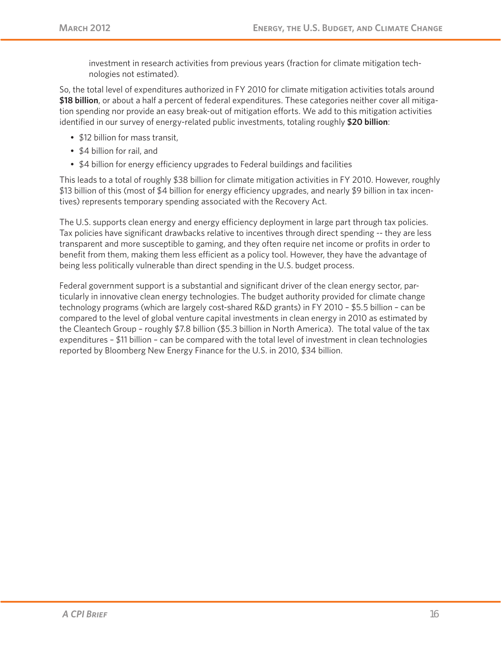investment in research activities from previous years (fraction for climate mitigation technologies not estimated).

So, the total level of expenditures authorized in FY 2010 for climate mitigation activities totals around **\$18 billion**, or about a half a percent of federal expenditures. These categories neither cover all mitigation spending nor provide an easy break-out of mitigation efforts. We add to this mitigation activities identified in our survey of energy-related public investments, totaling roughly **\$20 billion**:

- \$12 billion for mass transit,
- \$4 billion for rail, and
- \$4 billion for energy efficiency upgrades to Federal buildings and facilities

This leads to a total of roughly \$38 billion for climate mitigation activities in FY 2010. However, roughly \$13 billion of this (most of \$4 billion for energy efficiency upgrades, and nearly \$9 billion in tax incentives) represents temporary spending associated with the Recovery Act.

The U.S. supports clean energy and energy efficiency deployment in large part through tax policies. Tax policies have significant drawbacks relative to incentives through direct spending -- they are less transparent and more susceptible to gaming, and they often require net income or profits in order to benefit from them, making them less efficient as a policy tool. However, they have the advantage of being less politically vulnerable than direct spending in the U.S. budget process.

Federal government support is a substantial and significant driver of the clean energy sector, particularly in innovative clean energy technologies. The budget authority provided for climate change technology programs (which are largely cost-shared R&D grants) in FY 2010 – \$5.5 billion – can be compared to the level of global venture capital investments in clean energy in 2010 as estimated by the Cleantech Group – roughly \$7.8 billion (\$5.3 billion in North America). The total value of the tax expenditures – \$11 billion – can be compared with the total level of investment in clean technologies reported by Bloomberg New Energy Finance for the U.S. in 2010, \$34 billion.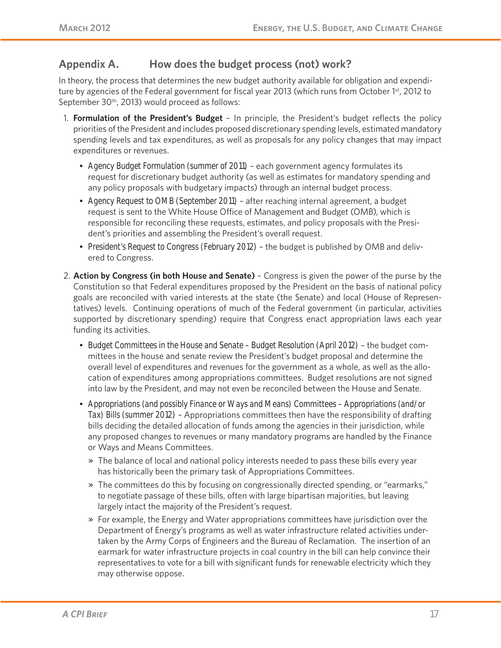## **Appendix A. How does the budget process (not) work?**

In theory, the process that determines the new budget authority available for obligation and expenditure by agencies of the Federal government for fiscal year 2013 (which runs from October 1<sup>st</sup>, 2012 to September 30<sup>th</sup>, 2013) would proceed as follows:

- 1. **Formulation of the President's Budget**  In principle, the President's budget reflects the policy priorities of the President and includes proposed discretionary spending levels, estimated mandatory spending levels and tax expenditures, as well as proposals for any policy changes that may impact expenditures or revenues.
	- *Agency Budget Formulation (summer of 2011)* each government agency formulates its request for discretionary budget authority (as well as estimates for mandatory spending and any policy proposals with budgetary impacts) through an internal budget process.
	- *Agency Request to OMB (September 2011)* after reaching internal agreement, a budget request is sent to the White House Office of Management and Budget (OMB), which is responsible for reconciling these requests, estimates, and policy proposals with the President's priorities and assembling the President's overall request.
	- *President's Request to Congress (February 2012)* the budget is published by OMB and delivered to Congress.
- 2. **Action by Congress (in both House and Senate)** Congress is given the power of the purse by the Constitution so that Federal expenditures proposed by the President on the basis of national policy goals are reconciled with varied interests at the state (the Senate) and local (House of Representatives) levels. Continuing operations of much of the Federal government (in particular, activities supported by discretionary spending) require that Congress enact appropriation laws each year funding its activities.
	- *Budget Committees in the House and Senate Budget Resolution (April 2012)* the budget committees in the house and senate review the President's budget proposal and determine the overall level of expenditures and revenues for the government as a whole, as well as the allocation of expenditures among appropriations committees. Budget resolutions are not signed into law by the President, and may not even be reconciled between the House and Senate.
	- *Appropriations (and possibly Finance or Ways and Means) Committees Appropriations (and/or Tax) Bills (summer 2012)* – Appropriations committees then have the responsibility of drafting bills deciding the detailed allocation of funds among the agencies in their jurisdiction, while any proposed changes to revenues or many mandatory programs are handled by the Finance or Ways and Means Committees.
		- » The balance of local and national policy interests needed to pass these bills every year has historically been the primary task of Appropriations Committees.
		- » The committees do this by focusing on congressionally directed spending, or "earmarks," to negotiate passage of these bills, often with large bipartisan majorities, but leaving largely intact the majority of the President's request.
		- » For example, the Energy and Water appropriations committees have jurisdiction over the Department of Energy's programs as well as water infrastructure related activities undertaken by the Army Corps of Engineers and the Bureau of Reclamation. The insertion of an earmark for water infrastructure projects in coal country in the bill can help convince their representatives to vote for a bill with significant funds for renewable electricity which they may otherwise oppose.